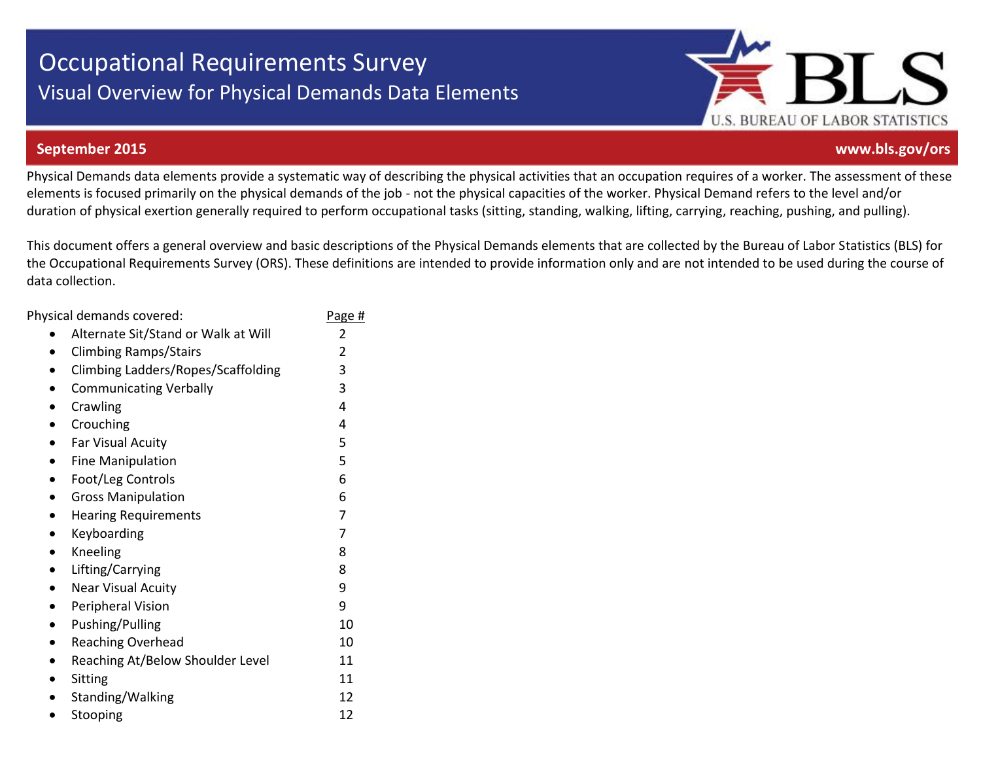# Occupational Requirements Survey Visual Overview for Physical Demands Data Elements



#### **September 2015 www.bls.gov/ors**

Physical Demands data elements provide a systematic way of describing the physical activities that an occupation requires of a worker. The assessment of these elements is focused primarily on the physical demands of the job - not the physical capacities of the worker. Physical Demand refers to the level and/or duration of physical exertion generally required to perform occupational tasks (sitting, standing, walking, lifting, carrying, reaching, pushing, and pulling).

This document offers a general overview and basic descriptions of the Physical Demands elements that are collected by the Bureau of Labor Statistics (BLS) for the Occupational Requirements Survey (ORS). These definitions are intended to provide information only and are not intended to be used during the course of data collection.

| Physical demands covered:                     | Page # |
|-----------------------------------------------|--------|
| Alternate Sit/Stand or Walk at Will           | 2      |
| <b>Climbing Ramps/Stairs</b><br>$\bullet$     | 2      |
| Climbing Ladders/Ropes/Scaffolding            | 3      |
| <b>Communicating Verbally</b><br>$\bullet$    | 3      |
| Crawling<br>$\bullet$                         | 4      |
| Crouching<br>$\bullet$                        | 4      |
| Far Visual Acuity                             | 5      |
| <b>Fine Manipulation</b><br>$\bullet$         | 5      |
| Foot/Leg Controls<br>$\bullet$                | 6      |
| <b>Gross Manipulation</b><br>$\bullet$        | 6      |
| <b>Hearing Requirements</b>                   | 7      |
| Keyboarding<br>$\bullet$                      | 7      |
| Kneeling<br>$\bullet$                         | 8      |
| Lifting/Carrying<br>$\bullet$                 | 8      |
| <b>Near Visual Acuity</b>                     | 9      |
| Peripheral Vision<br>$\bullet$                | 9      |
| Pushing/Pulling                               | 10     |
| <b>Reaching Overhead</b><br>$\bullet$         | 10     |
| Reaching At/Below Shoulder Level<br>$\bullet$ | 11     |
| Sitting<br>$\bullet$                          | 11     |
| Standing/Walking<br>$\bullet$                 | 12     |
| Stooping                                      | 12     |
|                                               |        |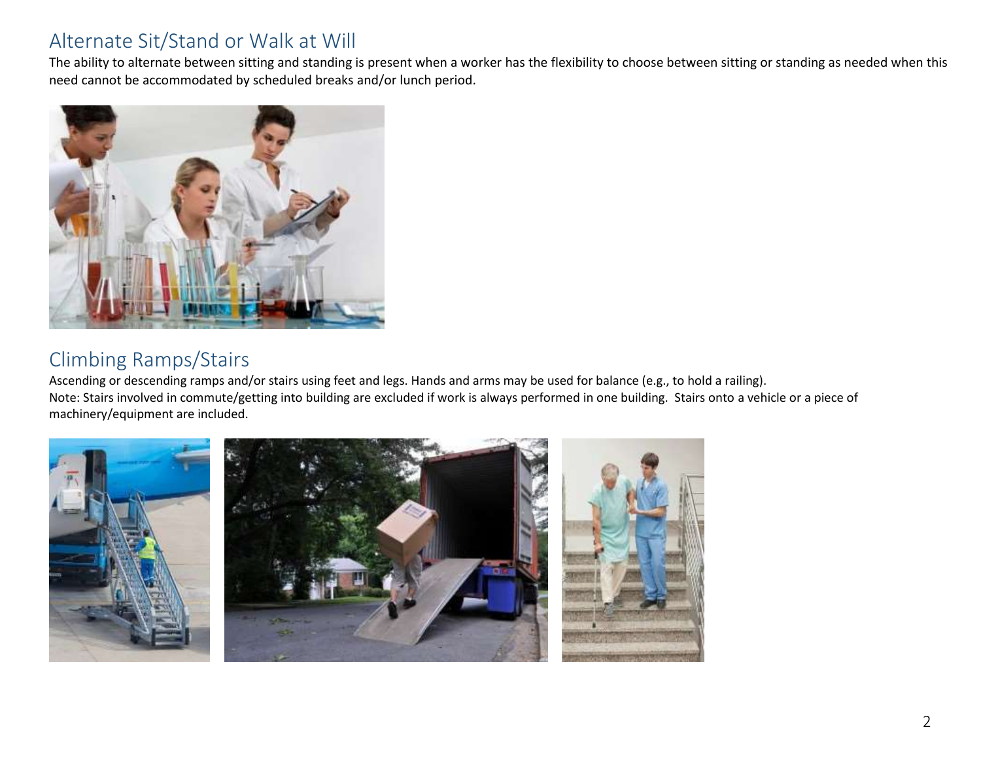#### Alternate Sit/Stand or Walk at Will

The ability to alternate between sitting and standing is present when a worker has the flexibility to choose between sitting or standing as needed when this need cannot be accommodated by scheduled breaks and/or lunch period.



#### Climbing Ramps/Stairs

Ascending or descending ramps and/or stairs using feet and legs. Hands and arms may be used for balance (e.g., to hold a railing). Note: Stairs involved in commute/getting into building are excluded if work is always performed in one building. Stairs onto a vehicle or a piece of machinery/equipment are included.

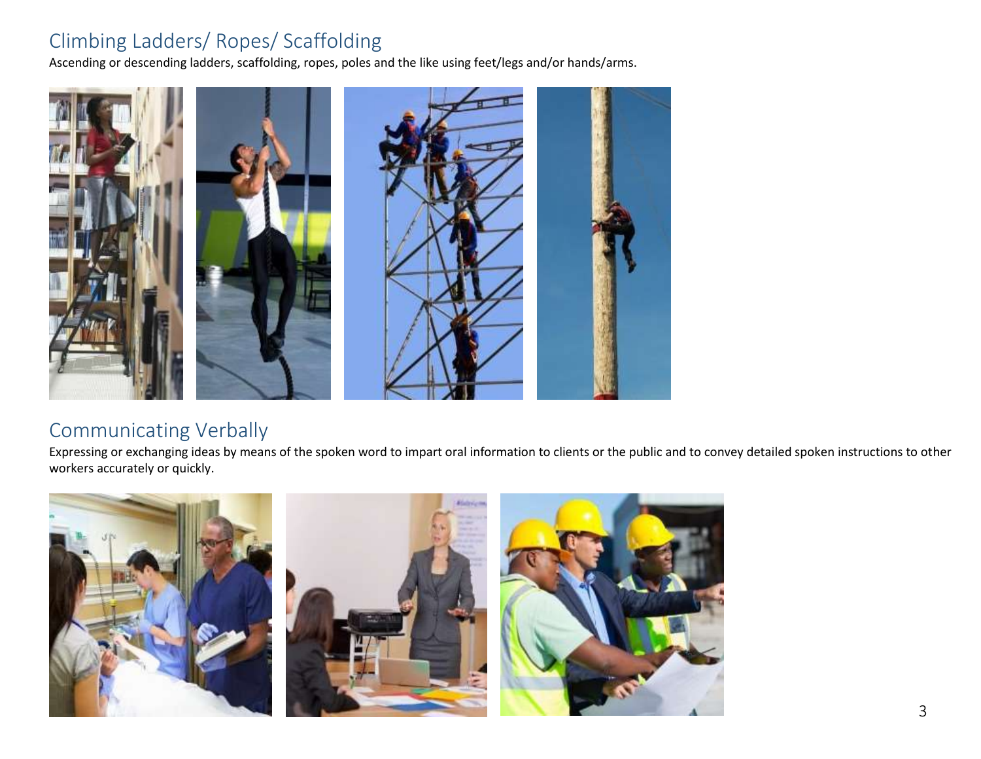#### Climbing Ladders/ Ropes/ Scaffolding

Ascending or descending ladders, scaffolding, ropes, poles and the like using feet/legs and/or hands/arms.



#### Communicating Verbally

Expressing or exchanging ideas by means of the spoken word to impart oral information to clients or the public and to convey detailed spoken instructions to other workers accurately or quickly.

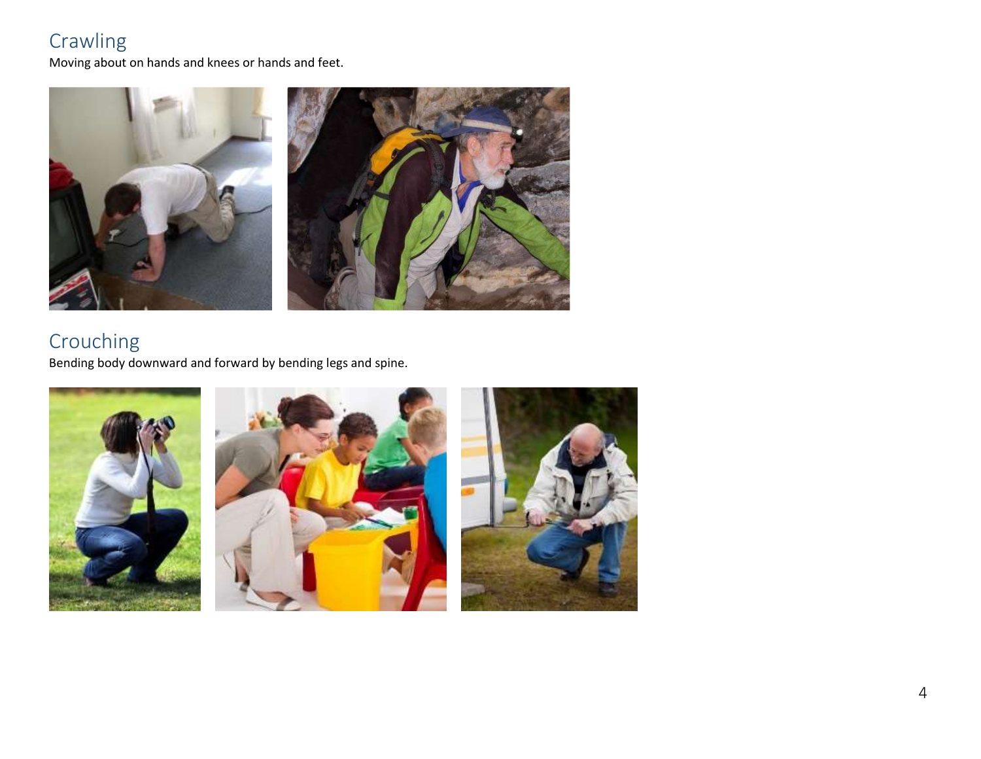## Crawling

Moving about on hands and knees or hands and feet.



## Crouching

Bending body downward and forward by bending legs and spine.

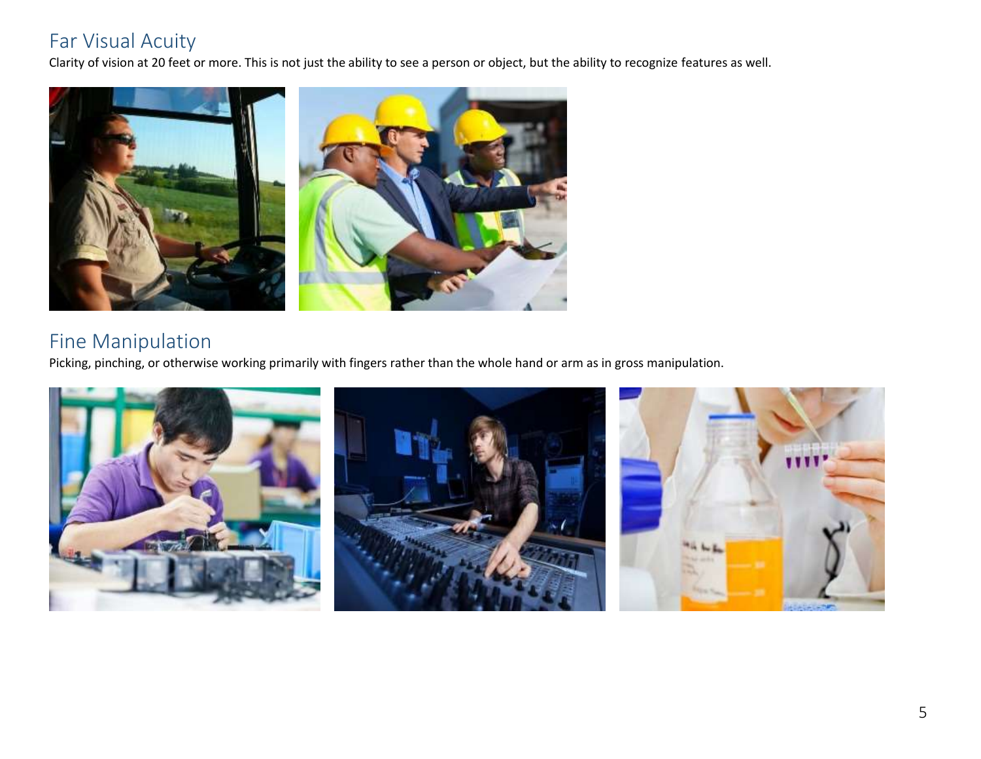#### Far Visual Acuity

Clarity of vision at 20 feet or more. This is not just the ability to see a person or object, but the ability to recognize features as well.



#### Fine Manipulation

Picking, pinching, or otherwise working primarily with fingers rather than the whole hand or arm as in gross manipulation.

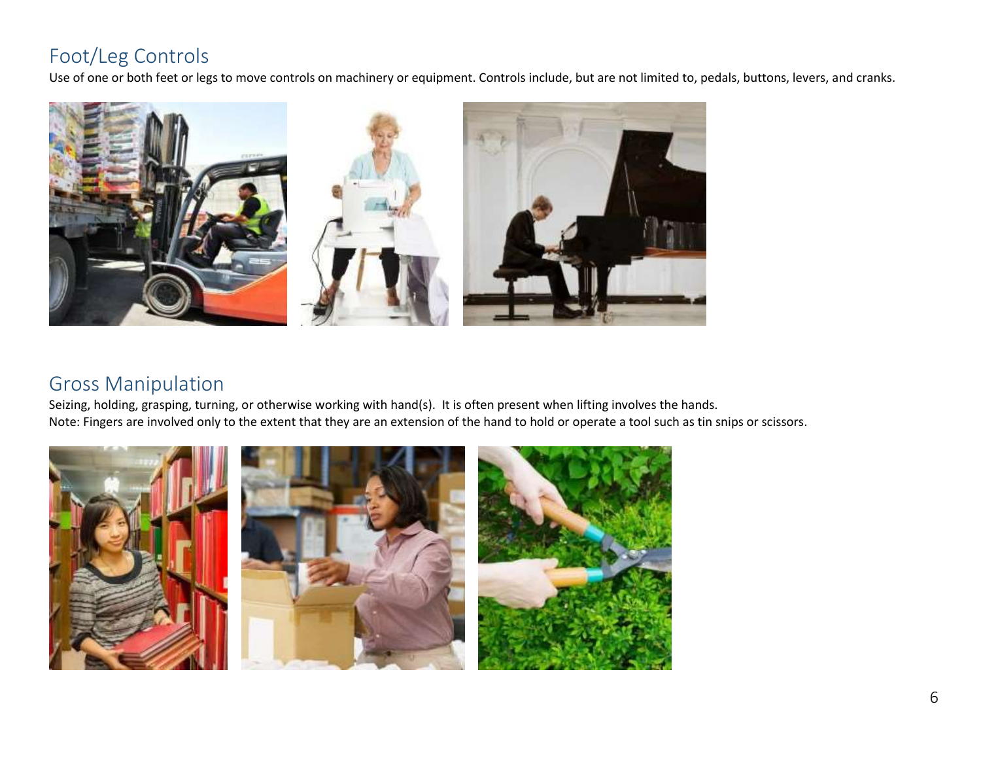### Foot/Leg Controls

Use of one or both feet or legs to move controls on machinery or equipment. Controls include, but are not limited to, pedals, buttons, levers, and cranks.



## Gross Manipulation

Seizing, holding, grasping, turning, or otherwise working with hand(s). It is often present when lifting involves the hands. Note: Fingers are involved only to the extent that they are an extension of the hand to hold or operate a tool such as tin snips or scissors.





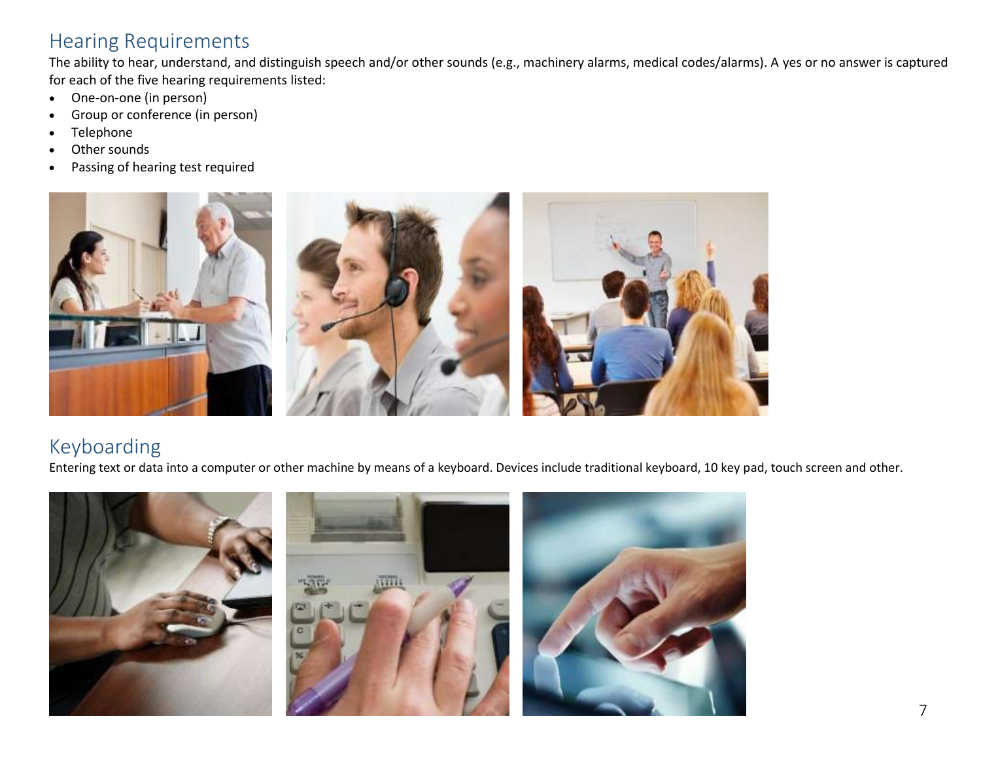#### Hearing Requirements

The ability to hear, understand, and distinguish speech and/or other sounds (e.g., machinery alarms, medical codes/alarms). A yes or no answer is captured for each of the five hearing requirements listed:

- One-on-one (in person)
- Group or conference (in person)
- Telephone
- Other sounds
- Passing of hearing test required



#### Keyboarding

Entering text or data into a computer or other machine by means of a keyboard. Devices include traditional keyboard, 10 key pad, touch screen and other.

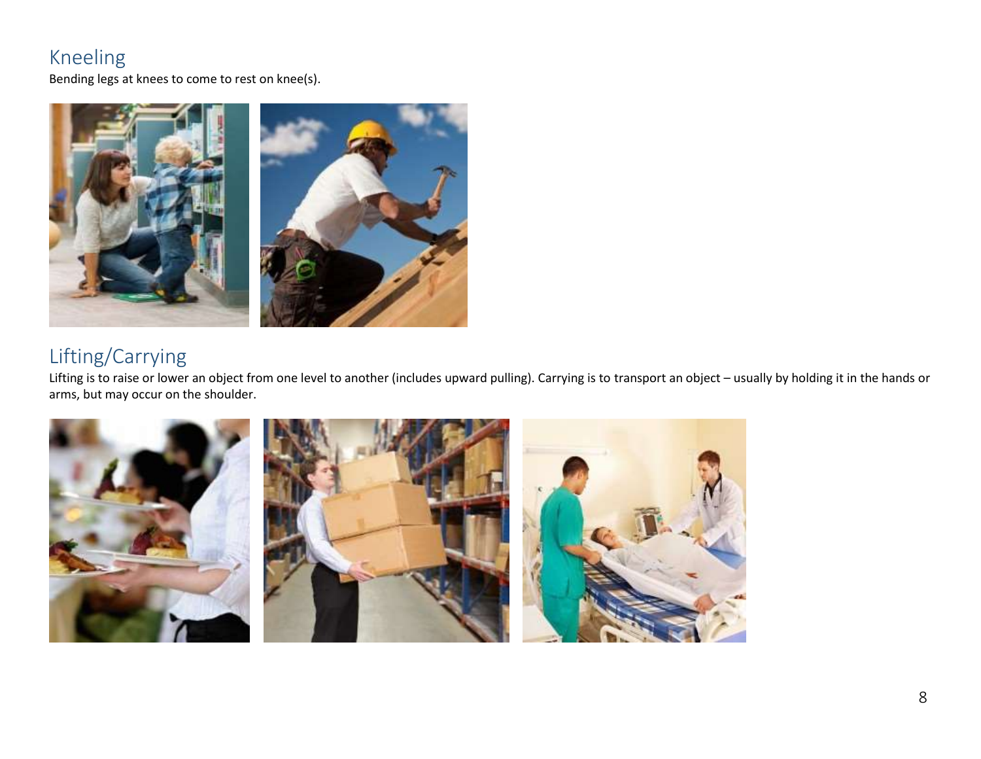#### Kneeling

Bending legs at knees to come to rest on knee(s).



### Lifting/Carrying

Lifting is to raise or lower an object from one level to another (includes upward pulling). Carrying is to transport an object – usually by holding it in the hands or arms, but may occur on the shoulder.

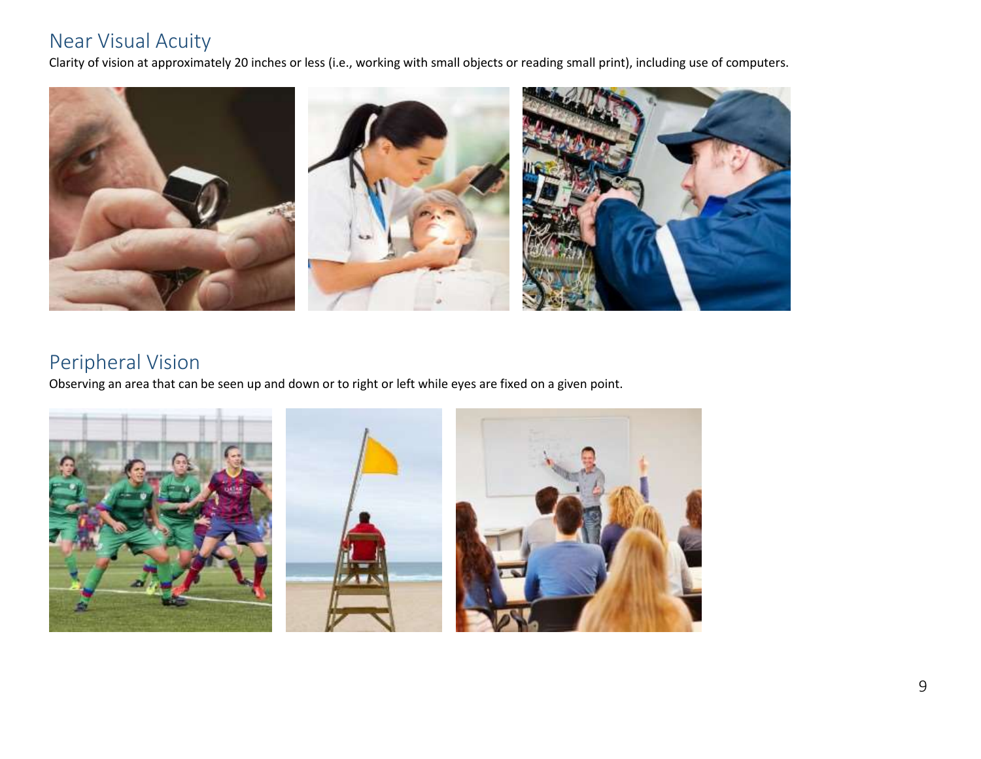#### Near Visual Acuity

Clarity of vision at approximately 20 inches or less (i.e., working with small objects or reading small print), including use of computers.



#### Peripheral Vision

Observing an area that can be seen up and down or to right or left while eyes are fixed on a given point.

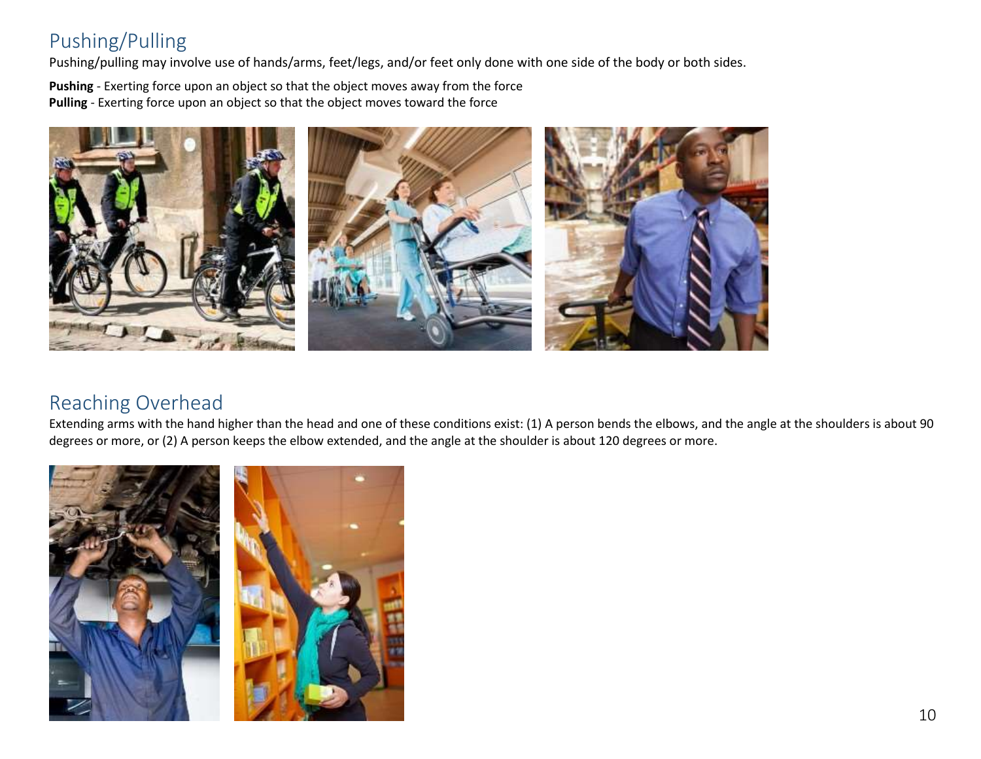#### Pushing/Pulling

Pushing/pulling may involve use of hands/arms, feet/legs, and/or feet only done with one side of the body or both sides.

**Pushing** - Exerting force upon an object so that the object moves away from the force **Pulling** - Exerting force upon an object so that the object moves toward the force



#### Reaching Overhead

Extending arms with the hand higher than the head and one of these conditions exist: (1) A person bends the elbows, and the angle at the shoulders is about 90 degrees or more, or (2) A person keeps the elbow extended, and the angle at the shoulder is about 120 degrees or more.

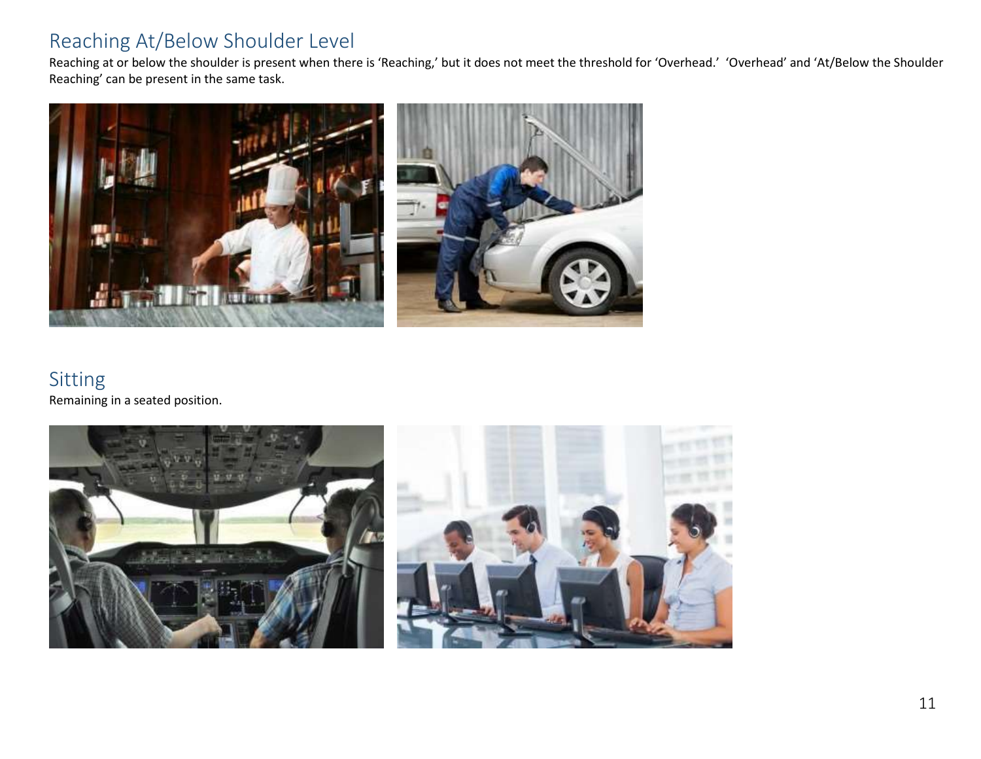#### Reaching At/Below Shoulder Level

Reaching at or below the shoulder is present when there is 'Reaching,' but it does not meet the threshold for 'Overhead.' 'Overhead' and 'At/Below the Shoulder Reaching' can be present in the same task.



#### Sitting Remaining in a seated position.